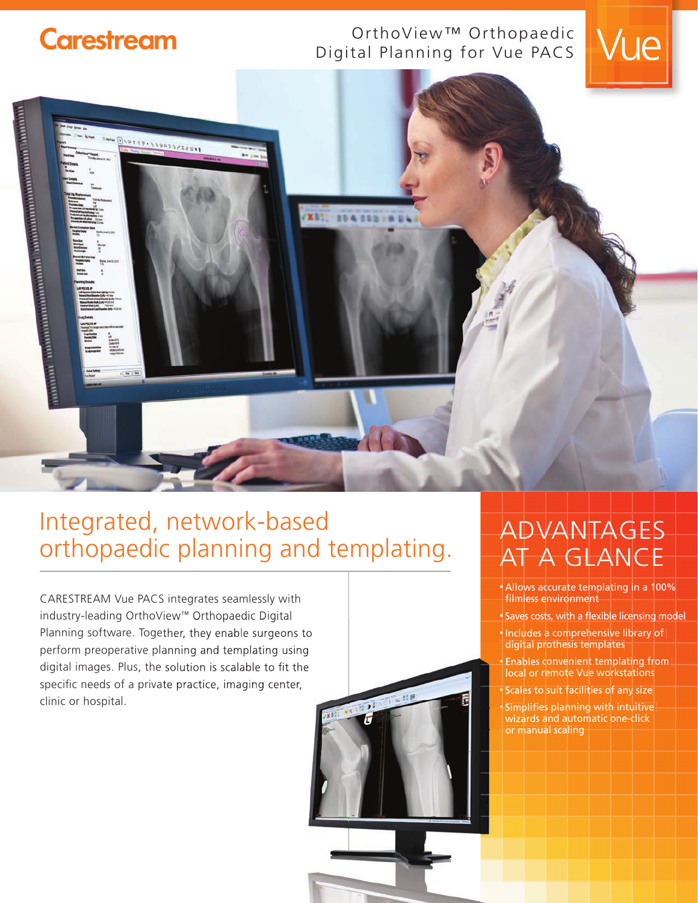# **Carestream**

### OrthoView™ Orthopaedic Digital Planning for Vue PACS





# Integrated, network-based orthopaedic planning and templating.

CARESTREAM Vue PACS integrates seamlessly with industry-leading OrthoView™ Orthopaedic Digital Planning software. Together, they enable surgeons to perform preoperative planning and templating using digital images. Plus, the solution is scalable to fit the specific needs of a private practice, imaging center, clinic or hospital.



## ADVANTAGES AT A GLANCE

- Allows accurate templating in a 100% filmless environment
- Saves costs, with a flexible licensing model
- Includes a comprehensive library of digital prothesis templates
- Enables convenient templating from local or remote Vue workstations
- Scales to suit facilities of any size

• Simplifies planning with intuitive wizards and automatic one-click **For manual scaling**